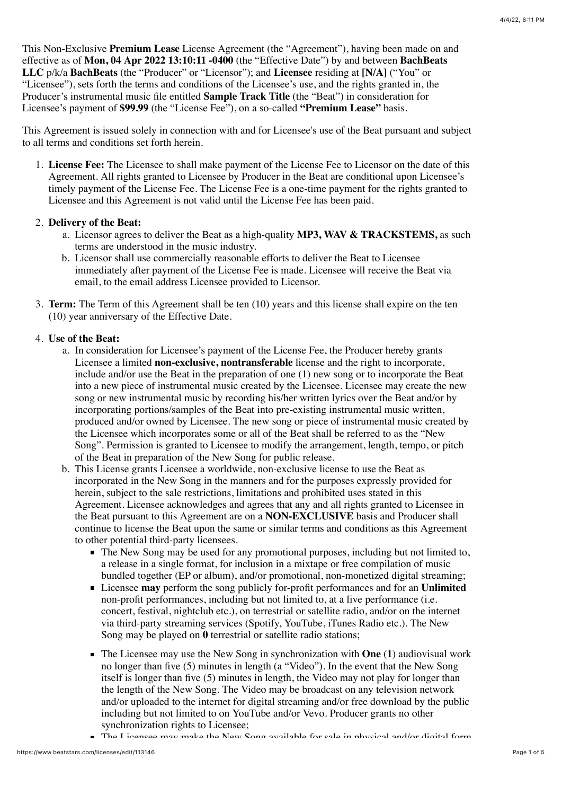This Non-Exclusive **Premium Lease** License Agreement (the "Agreement"), having been made on and effective as of **Mon, 04 Apr 2022 13:10:11 -0400** (the "Effective Date") by and between **BachBeats LLC** p/k/a **BachBeats** (the "Producer" or "Licensor"); and **Licensee** residing at **[N/A]** ("You" or "Licensee"), sets forth the terms and conditions of the Licensee's use, and the rights granted in, the Producer's instrumental music file entitled **Sample Track Title** (the "Beat") in consideration for Licensee's payment of **\$99.99** (the "License Fee"), on a so-called **"Premium Lease"** basis.

This Agreement is issued solely in connection with and for Licensee's use of the Beat pursuant and subject to all terms and conditions set forth herein.

1. **License Fee:** The Licensee to shall make payment of the License Fee to Licensor on the date of this Agreement. All rights granted to Licensee by Producer in the Beat are conditional upon Licensee's timely payment of the License Fee. The License Fee is a one-time payment for the rights granted to Licensee and this Agreement is not valid until the License Fee has been paid.

## 2. **Delivery of the Beat:**

- a. Licensor agrees to deliver the Beat as a high-quality **MP3, WAV & TRACKSTEMS,** as such terms are understood in the music industry.
- b. Licensor shall use commercially reasonable efforts to deliver the Beat to Licensee immediately after payment of the License Fee is made. Licensee will receive the Beat via email, to the email address Licensee provided to Licensor.
- 3. **Term:** The Term of this Agreement shall be ten (10) years and this license shall expire on the ten (10) year anniversary of the Effective Date.

# 4. **Use of the Beat:**

- a. In consideration for Licensee's payment of the License Fee, the Producer hereby grants Licensee a limited **non-exclusive, nontransferable** license and the right to incorporate, include and/or use the Beat in the preparation of one (1) new song or to incorporate the Beat into a new piece of instrumental music created by the Licensee. Licensee may create the new song or new instrumental music by recording his/her written lyrics over the Beat and/or by incorporating portions/samples of the Beat into pre-existing instrumental music written, produced and/or owned by Licensee. The new song or piece of instrumental music created by the Licensee which incorporates some or all of the Beat shall be referred to as the "New Song". Permission is granted to Licensee to modify the arrangement, length, tempo, or pitch of the Beat in preparation of the New Song for public release.
- b. This License grants Licensee a worldwide, non-exclusive license to use the Beat as incorporated in the New Song in the manners and for the purposes expressly provided for herein, subject to the sale restrictions, limitations and prohibited uses stated in this Agreement. Licensee acknowledges and agrees that any and all rights granted to Licensee in the Beat pursuant to this Agreement are on a **NON-EXCLUSIVE** basis and Producer shall continue to license the Beat upon the same or similar terms and conditions as this Agreement to other potential third-party licensees.
	- The New Song may be used for any promotional purposes, including but not limited to, a release in a single format, for inclusion in a mixtape or free compilation of music bundled together (EP or album), and/or promotional, non-monetized digital streaming;
	- Licensee **may** perform the song publicly for-profit performances and for an **Unlimited** non-profit performances, including but not limited to, at a live performance (i.e. concert, festival, nightclub etc.), on terrestrial or satellite radio, and/or on the internet via third-party streaming services (Spotify, YouTube, iTunes Radio etc.). The New Song may be played on **0** terrestrial or satellite radio stations;
	- The Licensee may use the New Song in synchronization with **One** (**1**) audiovisual work no longer than five (5) minutes in length (a "Video"). In the event that the New Song itself is longer than five (5) minutes in length, the Video may not play for longer than the length of the New Song. The Video may be broadcast on any television network and/or uploaded to the internet for digital streaming and/or free download by the public including but not limited to on YouTube and/or Vevo. Producer grants no other synchronization rights to Licensee;
	- The Licensee may make the New Song available for sale in physical and/or digital form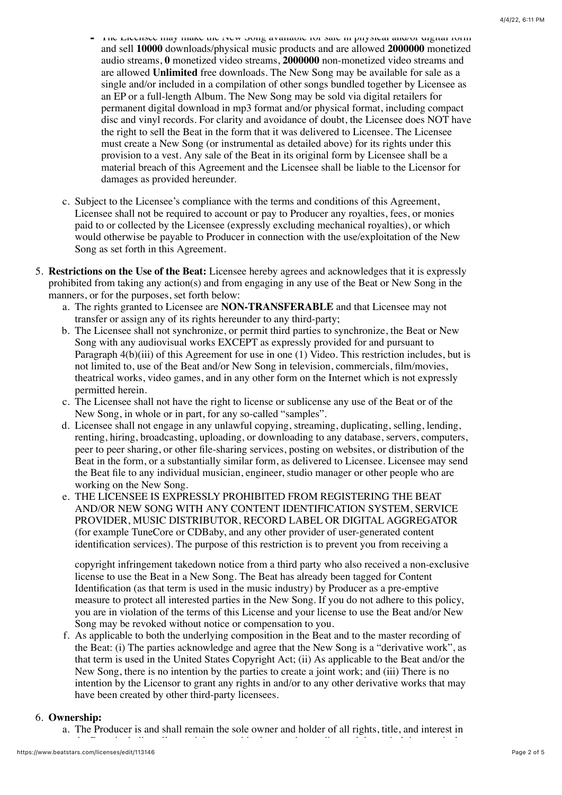- The Licensee may make the New Song available for sale in physical and/or digital form and sell **10000** downloads/physical music products and are allowed **2000000** monetized audio streams, **0** monetized video streams, **2000000** non-monetized video streams and are allowed **Unlimited** free downloads. The New Song may be available for sale as a single and/or included in a compilation of other songs bundled together by Licensee as an EP or a full-length Album. The New Song may be sold via digital retailers for permanent digital download in mp3 format and/or physical format, including compact disc and vinyl records. For clarity and avoidance of doubt, the Licensee does NOT have the right to sell the Beat in the form that it was delivered to Licensee. The Licensee must create a New Song (or instrumental as detailed above) for its rights under this provision to a vest. Any sale of the Beat in its original form by Licensee shall be a material breach of this Agreement and the Licensee shall be liable to the Licensor for damages as provided hereunder.
- c. Subject to the Licensee's compliance with the terms and conditions of this Agreement, Licensee shall not be required to account or pay to Producer any royalties, fees, or monies paid to or collected by the Licensee (expressly excluding mechanical royalties), or which would otherwise be payable to Producer in connection with the use/exploitation of the New Song as set forth in this Agreement.
- 5. **Restrictions on the Use of the Beat:** Licensee hereby agrees and acknowledges that it is expressly prohibited from taking any action(s) and from engaging in any use of the Beat or New Song in the manners, or for the purposes, set forth below:
	- a. The rights granted to Licensee are **NON-TRANSFERABLE** and that Licensee may not transfer or assign any of its rights hereunder to any third-party;
	- b. The Licensee shall not synchronize, or permit third parties to synchronize, the Beat or New Song with any audiovisual works EXCEPT as expressly provided for and pursuant to Paragraph 4(b)(iii) of this Agreement for use in one (1) Video. This restriction includes, but is not limited to, use of the Beat and/or New Song in television, commercials, film/movies, theatrical works, video games, and in any other form on the Internet which is not expressly permitted herein.
	- c. The Licensee shall not have the right to license or sublicense any use of the Beat or of the New Song, in whole or in part, for any so-called "samples".
	- d. Licensee shall not engage in any unlawful copying, streaming, duplicating, selling, lending, renting, hiring, broadcasting, uploading, or downloading to any database, servers, computers, peer to peer sharing, or other file-sharing services, posting on websites, or distribution of the Beat in the form, or a substantially similar form, as delivered to Licensee. Licensee may send the Beat file to any individual musician, engineer, studio manager or other people who are working on the New Song.
	- e. THE LICENSEE IS EXPRESSLY PROHIBITED FROM REGISTERING THE BEAT AND/OR NEW SONG WITH ANY CONTENT IDENTIFICATION SYSTEM, SERVICE PROVIDER, MUSIC DISTRIBUTOR, RECORD LABEL OR DIGITAL AGGREGATOR (for example TuneCore or CDBaby, and any other provider of user-generated content identification services). The purpose of this restriction is to prevent you from receiving a

copyright infringement takedown notice from a third party who also received a non-exclusive license to use the Beat in a New Song. The Beat has already been tagged for Content Identification (as that term is used in the music industry) by Producer as a pre-emptive measure to protect all interested parties in the New Song. If you do not adhere to this policy, you are in violation of the terms of this License and your license to use the Beat and/or New Song may be revoked without notice or compensation to you.

f. As applicable to both the underlying composition in the Beat and to the master recording of the Beat: (i) The parties acknowledge and agree that the New Song is a "derivative work", as that term is used in the United States Copyright Act; (ii) As applicable to the Beat and/or the New Song, there is no intention by the parties to create a joint work; and (iii) There is no intention by the Licensor to grant any rights in and/or to any other derivative works that may have been created by other third-party licensees.

## 6. **Ownership:**

a. The Producer is and shall remain the sole owner and holder of all rights, title, and interest in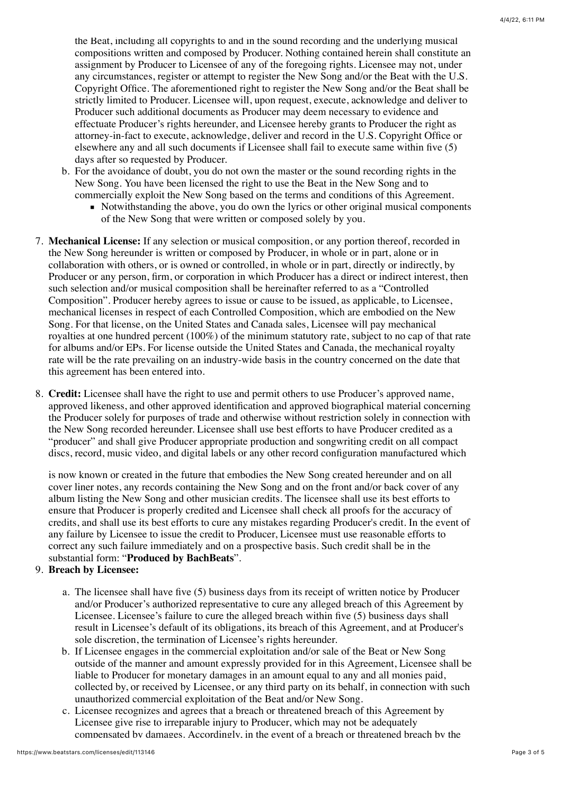the Beat, including all copyrights to and in the sound recording and the underlying musical compositions written and composed by Producer. Nothing contained herein shall constitute an assignment by Producer to Licensee of any of the foregoing rights. Licensee may not, under any circumstances, register or attempt to register the New Song and/or the Beat with the U.S. Copyright Office. The aforementioned right to register the New Song and/or the Beat shall be strictly limited to Producer. Licensee will, upon request, execute, acknowledge and deliver to Producer such additional documents as Producer may deem necessary to evidence and effectuate Producer's rights hereunder, and Licensee hereby grants to Producer the right as attorney-in-fact to execute, acknowledge, deliver and record in the U.S. Copyright Office or elsewhere any and all such documents if Licensee shall fail to execute same within five (5) days after so requested by Producer.

- b. For the avoidance of doubt, you do not own the master or the sound recording rights in the New Song. You have been licensed the right to use the Beat in the New Song and to commercially exploit the New Song based on the terms and conditions of this Agreement.
	- Notwithstanding the above, you do own the lyrics or other original musical components of the New Song that were written or composed solely by you.
- 7. **Mechanical License:** If any selection or musical composition, or any portion thereof, recorded in the New Song hereunder is written or composed by Producer, in whole or in part, alone or in collaboration with others, or is owned or controlled, in whole or in part, directly or indirectly, by Producer or any person, firm, or corporation in which Producer has a direct or indirect interest, then such selection and/or musical composition shall be hereinafter referred to as a "Controlled Composition". Producer hereby agrees to issue or cause to be issued, as applicable, to Licensee, mechanical licenses in respect of each Controlled Composition, which are embodied on the New Song. For that license, on the United States and Canada sales, Licensee will pay mechanical royalties at one hundred percent (100%) of the minimum statutory rate, subject to no cap of that rate for albums and/or EPs. For license outside the United States and Canada, the mechanical royalty rate will be the rate prevailing on an industry-wide basis in the country concerned on the date that this agreement has been entered into.
- 8. **Credit:** Licensee shall have the right to use and permit others to use Producer's approved name, approved likeness, and other approved identification and approved biographical material concerning the Producer solely for purposes of trade and otherwise without restriction solely in connection with the New Song recorded hereunder. Licensee shall use best efforts to have Producer credited as a "producer" and shall give Producer appropriate production and songwriting credit on all compact discs, record, music video, and digital labels or any other record configuration manufactured which

is now known or created in the future that embodies the New Song created hereunder and on all cover liner notes, any records containing the New Song and on the front and/or back cover of any album listing the New Song and other musician credits. The licensee shall use its best efforts to ensure that Producer is properly credited and Licensee shall check all proofs for the accuracy of credits, and shall use its best efforts to cure any mistakes regarding Producer's credit. In the event of any failure by Licensee to issue the credit to Producer, Licensee must use reasonable efforts to correct any such failure immediately and on a prospective basis. Such credit shall be in the substantial form: "**Produced by BachBeats**".

## 9. **Breach by Licensee:**

- a. The licensee shall have five (5) business days from its receipt of written notice by Producer and/or Producer's authorized representative to cure any alleged breach of this Agreement by Licensee. Licensee's failure to cure the alleged breach within five (5) business days shall result in Licensee's default of its obligations, its breach of this Agreement, and at Producer's sole discretion, the termination of Licensee's rights hereunder.
- b. If Licensee engages in the commercial exploitation and/or sale of the Beat or New Song outside of the manner and amount expressly provided for in this Agreement, Licensee shall be liable to Producer for monetary damages in an amount equal to any and all monies paid, collected by, or received by Licensee, or any third party on its behalf, in connection with such unauthorized commercial exploitation of the Beat and/or New Song.
- c. Licensee recognizes and agrees that a breach or threatened breach of this Agreement by Licensee give rise to irreparable injury to Producer, which may not be adequately compensated by damages. Accordingly, in the event of a breach or threatened breach by the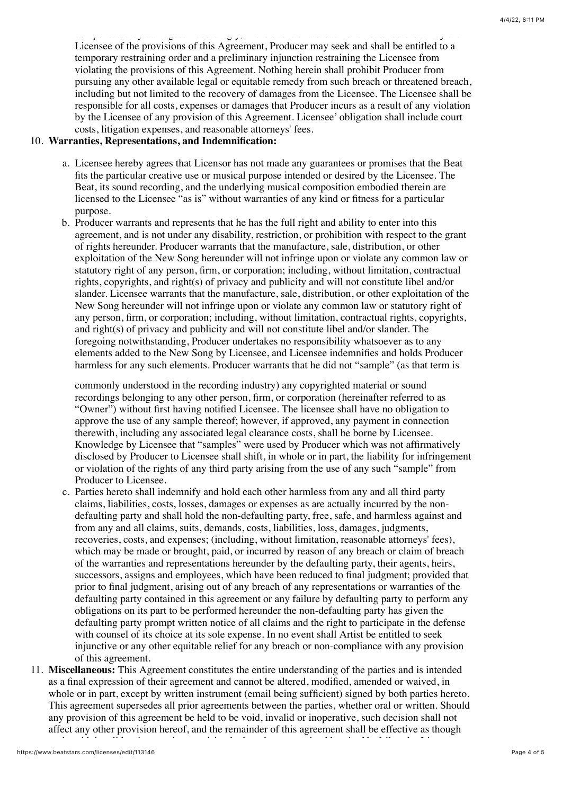compensated by damages. Accordingly, in the event of a breach or threatened breach by the Licensee of the provisions of this Agreement, Producer may seek and shall be entitled to a temporary restraining order and a preliminary injunction restraining the Licensee from violating the provisions of this Agreement. Nothing herein shall prohibit Producer from pursuing any other available legal or equitable remedy from such breach or threatened breach, including but not limited to the recovery of damages from the Licensee. The Licensee shall be responsible for all costs, expenses or damages that Producer incurs as a result of any violation by the Licensee of any provision of this Agreement. Licensee' obligation shall include court costs, litigation expenses, and reasonable attorneys' fees.

# 10. **Warranties, Representations, and Indemnification:**

- a. Licensee hereby agrees that Licensor has not made any guarantees or promises that the Beat fits the particular creative use or musical purpose intended or desired by the Licensee. The Beat, its sound recording, and the underlying musical composition embodied therein are licensed to the Licensee "as is" without warranties of any kind or fitness for a particular purpose.
- b. Producer warrants and represents that he has the full right and ability to enter into this agreement, and is not under any disability, restriction, or prohibition with respect to the grant of rights hereunder. Producer warrants that the manufacture, sale, distribution, or other exploitation of the New Song hereunder will not infringe upon or violate any common law or statutory right of any person, firm, or corporation; including, without limitation, contractual rights, copyrights, and right(s) of privacy and publicity and will not constitute libel and/or slander. Licensee warrants that the manufacture, sale, distribution, or other exploitation of the New Song hereunder will not infringe upon or violate any common law or statutory right of any person, firm, or corporation; including, without limitation, contractual rights, copyrights, and right(s) of privacy and publicity and will not constitute libel and/or slander. The foregoing notwithstanding, Producer undertakes no responsibility whatsoever as to any elements added to the New Song by Licensee, and Licensee indemnifies and holds Producer harmless for any such elements. Producer warrants that he did not "sample" (as that term is

commonly understood in the recording industry) any copyrighted material or sound recordings belonging to any other person, firm, or corporation (hereinafter referred to as "Owner") without first having notified Licensee. The licensee shall have no obligation to approve the use of any sample thereof; however, if approved, any payment in connection therewith, including any associated legal clearance costs, shall be borne by Licensee. Knowledge by Licensee that "samples" were used by Producer which was not affirmatively disclosed by Producer to Licensee shall shift, in whole or in part, the liability for infringement or violation of the rights of any third party arising from the use of any such "sample" from Producer to Licensee.

- c. Parties hereto shall indemnify and hold each other harmless from any and all third party claims, liabilities, costs, losses, damages or expenses as are actually incurred by the nondefaulting party and shall hold the non-defaulting party, free, safe, and harmless against and from any and all claims, suits, demands, costs, liabilities, loss, damages, judgments, recoveries, costs, and expenses; (including, without limitation, reasonable attorneys' fees), which may be made or brought, paid, or incurred by reason of any breach or claim of breach of the warranties and representations hereunder by the defaulting party, their agents, heirs, successors, assigns and employees, which have been reduced to final judgment; provided that prior to final judgment, arising out of any breach of any representations or warranties of the defaulting party contained in this agreement or any failure by defaulting party to perform any obligations on its part to be performed hereunder the non-defaulting party has given the defaulting party prompt written notice of all claims and the right to participate in the defense with counsel of its choice at its sole expense. In no event shall Artist be entitled to seek injunctive or any other equitable relief for any breach or non-compliance with any provision of this agreement.
- 11. **Miscellaneous:** This Agreement constitutes the entire understanding of the parties and is intended as a final expression of their agreement and cannot be altered, modified, amended or waived, in whole or in part, except by written instrument (email being sufficient) signed by both parties hereto. This agreement supersedes all prior agreements between the parties, whether oral or written. Should any provision of this agreement be held to be void, invalid or inoperative, such decision shall not affect any other provision hereof, and the remainder of this agreement shall be effective as though

such void, invalid or inoperative provision had not been contained herein. No failure by Licensor